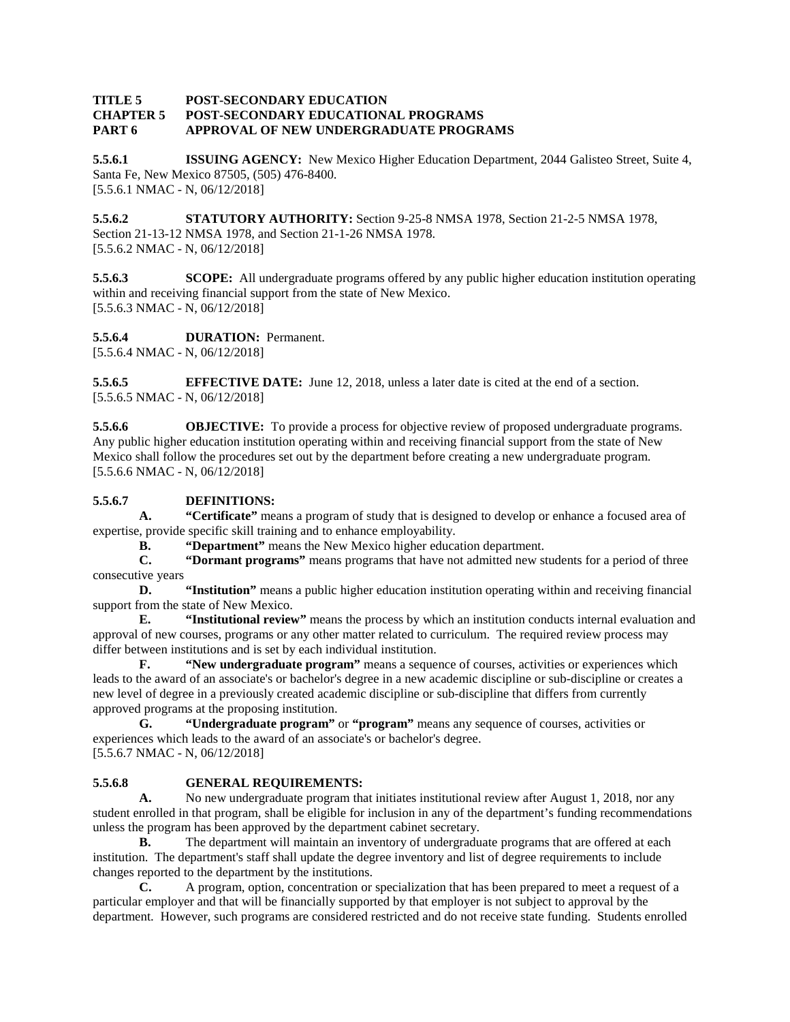#### **TITLE 5 POST-SECONDARY EDUCATION CHAPTER 5 POST-SECONDARY EDUCATIONAL PROGRAMS PART 6 APPROVAL OF NEW UNDERGRADUATE PROGRAMS**

**5.5.6.1 ISSUING AGENCY:** New Mexico Higher Education Department, 2044 Galisteo Street, Suite 4, Santa Fe, New Mexico 87505, (505) 476-8400. [5.5.6.1 NMAC - N, 06/12/2018]

**5.5.6.2 STATUTORY AUTHORITY:** Section 9-25-8 NMSA 1978, Section 21-2-5 NMSA 1978, Section 21-13-12 NMSA 1978, and Section 21-1-26 NMSA 1978. [5.5.6.2 NMAC - N, 06/12/2018]

**5.5.6.3 SCOPE:** All undergraduate programs offered by any public higher education institution operating within and receiving financial support from the state of New Mexico. [5.5.6.3 NMAC - N, 06/12/2018]

**5.5.6.4 DURATION:** Permanent.

[5.5.6.4 NMAC - N, 06/12/2018]

**5.5.6.5 EFFECTIVE DATE:** June 12, 2018, unless a later date is cited at the end of a section. [5.5.6.5 NMAC - N, 06/12/2018]

**5.5.6.6 OBJECTIVE:** To provide a process for objective review of proposed undergraduate programs. Any public higher education institution operating within and receiving financial support from the state of New Mexico shall follow the procedures set out by the department before creating a new undergraduate program. [5.5.6.6 NMAC - N, 06/12/2018]

# **5.5.6.7 DEFINITIONS:**

**A. "Certificate"** means a program of study that is designed to develop or enhance a focused area of expertise, provide specific skill training and to enhance employability.

**B. "Department"** means the New Mexico higher education department.<br>**C. "Dormant programs"** means programs that have not admitted new st **C. "Dormant programs"** means programs that have not admitted new students for a period of three consecutive years

**D. "Institution"** means a public higher education institution operating within and receiving financial support from the state of New Mexico.

**E. "Institutional review"** means the process by which an institution conducts internal evaluation and approval of new courses, programs or any other matter related to curriculum. The required review process may differ between institutions and is set by each individual institution.

**F. "New undergraduate program"** means a sequence of courses, activities or experiences which leads to the award of an associate's or bachelor's degree in a new academic discipline or sub-discipline or creates a new level of degree in a previously created academic discipline or sub-discipline that differs from currently approved programs at the proposing institution.

**G. "Undergraduate program"** or **"program"** means any sequence of courses, activities or experiences which leads to the award of an associate's or bachelor's degree. [5.5.6.7 NMAC - N, 06/12/2018]

# **5.5.6.8 GENERAL REQUIREMENTS:**

**A.** No new undergraduate program that initiates institutional review after August 1, 2018, nor any student enrolled in that program, shall be eligible for inclusion in any of the department's funding recommendations unless the program has been approved by the department cabinet secretary.

**B.** The department will maintain an inventory of undergraduate programs that are offered at each institution. The department's staff shall update the degree inventory and list of degree requirements to include changes reported to the department by the institutions.

**C.** A program, option, concentration or specialization that has been prepared to meet a request of a particular employer and that will be financially supported by that employer is not subject to approval by the department. However, such programs are considered restricted and do not receive state funding. Students enrolled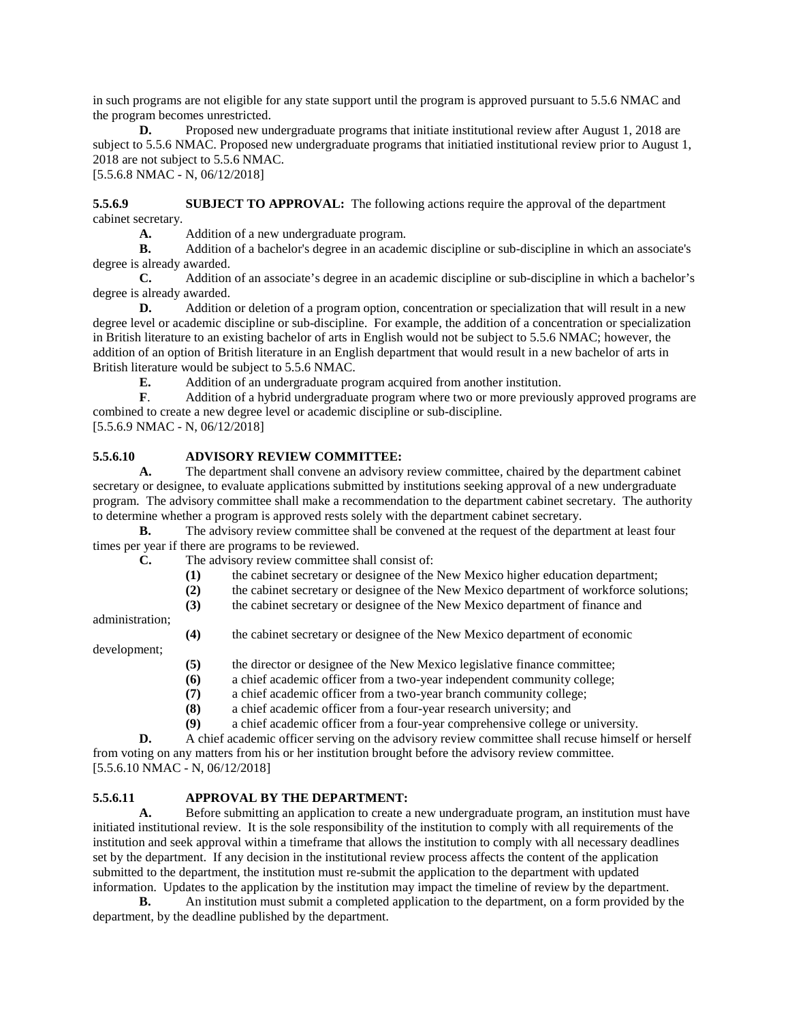in such programs are not eligible for any state support until the program is approved pursuant to 5.5.6 NMAC and the program becomes unrestricted.

**D.** Proposed new undergraduate programs that initiate institutional review after August 1, 2018 are subject to 5.5.6 NMAC. Proposed new undergraduate programs that initiatied institutional review prior to August 1, 2018 are not subject to 5.5.6 NMAC.

[5.5.6.8 NMAC - N, 06/12/2018]

**5.5.6.9 SUBJECT TO APPROVAL:** The following actions require the approval of the department cabinet secretary.

**A.** Addition of a new undergraduate program.<br>**B.** Addition of a bachelor's degree in an academ

**B.** Addition of a bachelor's degree in an academic discipline or sub-discipline in which an associate's degree is already awarded.

**C.** Addition of an associate's degree in an academic discipline or sub-discipline in which a bachelor's degree is already awarded.<br>D. Addition

**D.** Addition or deletion of a program option, concentration or specialization that will result in a new degree level or academic discipline or sub-discipline. For example, the addition of a concentration or specialization in British literature to an existing bachelor of arts in English would not be subject to 5.5.6 NMAC; however, the addition of an option of British literature in an English department that would result in a new bachelor of arts in British literature would be subject to 5.5.6 NMAC.<br> **E.** Addition of an undergraduate pro

**E.** Addition of an undergraduate program acquired from another institution.<br> **F.** Addition of a hybrid undergraduate program where two or more previous

**F**. Addition of a hybrid undergraduate program where two or more previously approved programs are combined to create a new degree level or academic discipline or sub-discipline. [5.5.6.9 NMAC - N, 06/12/2018]

## **5.5.6.10 ADVISORY REVIEW COMMITTEE:**

**A.** The department shall convene an advisory review committee, chaired by the department cabinet secretary or designee, to evaluate applications submitted by institutions seeking approval of a new undergraduate program. The advisory committee shall make a recommendation to the department cabinet secretary. The authority to determine whether a program is approved rests solely with the department cabinet secretary.

**B.** The advisory review committee shall be convened at the request of the department at least four times per year if there are programs to be reviewed.

**C.** The advisory review committee shall consist of:

- **(1)** the cabinet secretary or designee of the New Mexico higher education department;
- (2) the cabinet secretary or designee of the New Mexico department of workforce solutions;<br>(3) the cabinet secretary or designee of the New Mexico department of finance and
	- **(3)** the cabinet secretary or designee of the New Mexico department of finance and

administration;

**(4)** the cabinet secretary or designee of the New Mexico department of economic

development;

- **(5)** the director or designee of the New Mexico legislative finance committee;
- **(6)** a chief academic officer from a two-year independent community college;
- **(7)** a chief academic officer from a two-year branch community college;
- **(8)** a chief academic officer from a four-year research university; and
- **(9)** a chief academic officer from a four-year comprehensive college or university.

**D.** A chief academic officer serving on the advisory review committee shall recuse himself or herself from voting on any matters from his or her institution brought before the advisory review committee. [5.5.6.10 NMAC - N, 06/12/2018]

#### **5.5.6.11 APPROVAL BY THE DEPARTMENT:**

**A.** Before submitting an application to create a new undergraduate program, an institution must have initiated institutional review. It is the sole responsibility of the institution to comply with all requirements of the institution and seek approval within a timeframe that allows the institution to comply with all necessary deadlines set by the department. If any decision in the institutional review process affects the content of the application submitted to the department, the institution must re-submit the application to the department with updated information. Updates to the application by the institution may impact the timeline of review by the department.

**B.** An institution must submit a completed application to the department, on a form provided by the department, by the deadline published by the department.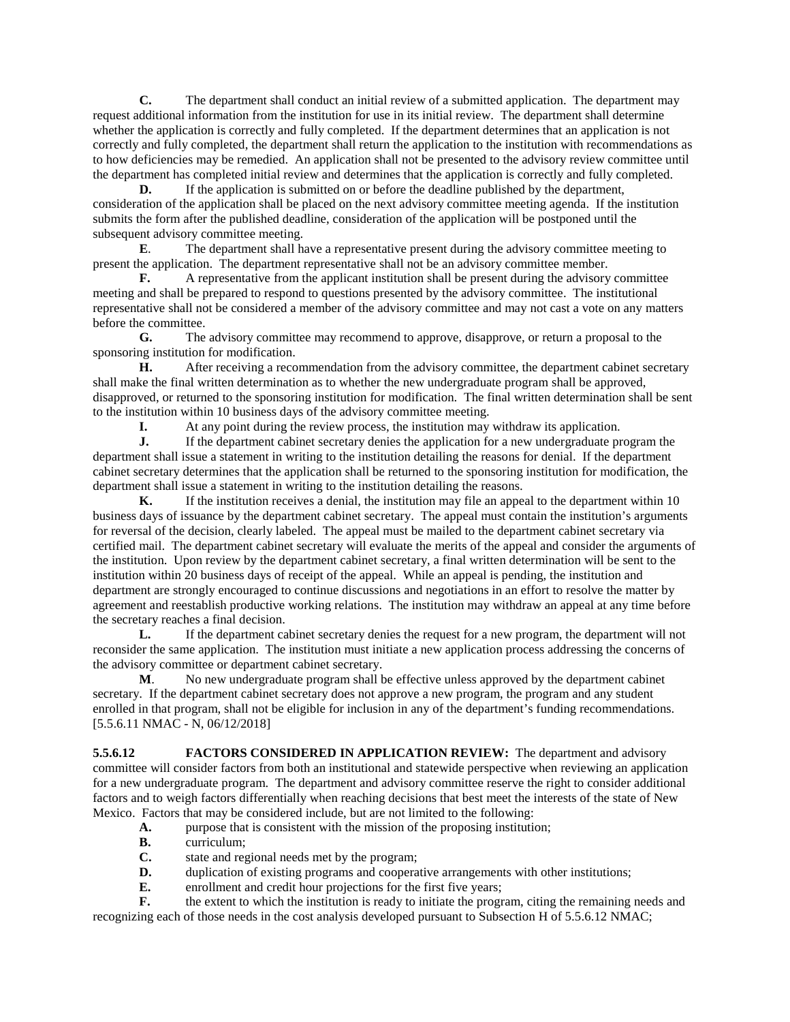**C.** The department shall conduct an initial review of a submitted application. The department may request additional information from the institution for use in its initial review. The department shall determine whether the application is correctly and fully completed. If the department determines that an application is not correctly and fully completed, the department shall return the application to the institution with recommendations as to how deficiencies may be remedied. An application shall not be presented to the advisory review committee until the department has completed initial review and determines that the application is correctly and fully completed.

**D.** If the application is submitted on or before the deadline published by the department, consideration of the application shall be placed on the next advisory committee meeting agenda. If the institution submits the form after the published deadline, consideration of the application will be postponed until the subsequent advisory committee meeting.

**E.** The department shall have a representative present during the advisory committee meeting to present the application. The department representative shall not be an advisory committee member.

**F.** A representative from the applicant institution shall be present during the advisory committee meeting and shall be prepared to respond to questions presented by the advisory committee. The institutional representative shall not be considered a member of the advisory committee and may not cast a vote on any matters before the committee.

**G.** The advisory committee may recommend to approve, disapprove, or return a proposal to the sponsoring institution for modification.

**H.** After receiving a recommendation from the advisory committee, the department cabinet secretary shall make the final written determination as to whether the new undergraduate program shall be approved, disapproved, or returned to the sponsoring institution for modification. The final written determination shall be sent to the institution within 10 business days of the advisory committee meeting.

**I.** At any point during the review process, the institution may withdraw its application.<br> **I.** If the department cabinet secretary denies the application for a new undergraduate pro-

**J.** If the department cabinet secretary denies the application for a new undergraduate program the department shall issue a statement in writing to the institution detailing the reasons for denial. If the department cabinet secretary determines that the application shall be returned to the sponsoring institution for modification, the department shall issue a statement in writing to the institution detailing the reasons.

**K.** If the institution receives a denial, the institution may file an appeal to the department within 10 business days of issuance by the department cabinet secretary. The appeal must contain the institution's arguments for reversal of the decision, clearly labeled. The appeal must be mailed to the department cabinet secretary via certified mail. The department cabinet secretary will evaluate the merits of the appeal and consider the arguments of the institution. Upon review by the department cabinet secretary, a final written determination will be sent to the institution within 20 business days of receipt of the appeal. While an appeal is pending, the institution and department are strongly encouraged to continue discussions and negotiations in an effort to resolve the matter by agreement and reestablish productive working relations. The institution may withdraw an appeal at any time before the secretary reaches a final decision.

**L.** If the department cabinet secretary denies the request for a new program, the department will not reconsider the same application. The institution must initiate a new application process addressing the concerns of the advisory committee or department cabinet secretary.

**M**. No new undergraduate program shall be effective unless approved by the department cabinet secretary. If the department cabinet secretary does not approve a new program, the program and any student enrolled in that program, shall not be eligible for inclusion in any of the department's funding recommendations. [5.5.6.11 NMAC - N, 06/12/2018]

**5.5.6.12 FACTORS CONSIDERED IN APPLICATION REVIEW:** The department and advisory committee will consider factors from both an institutional and statewide perspective when reviewing an application for a new undergraduate program. The department and advisory committee reserve the right to consider additional factors and to weigh factors differentially when reaching decisions that best meet the interests of the state of New Mexico. Factors that may be considered include, but are not limited to the following:

- **A.** purpose that is consistent with the mission of the proposing institution;
- **B.** curriculum;
- **C.** state and regional needs met by the program;
- **D.** duplication of existing programs and cooperative arrangements with other institutions;
- **E.** enrollment and credit hour projections for the first five years;<br>**F.** the extent to which the institution is ready to initiate the progr

the extent to which the institution is ready to initiate the program, citing the remaining needs and recognizing each of those needs in the cost analysis developed pursuant to Subsection H of 5.5.6.12 NMAC;